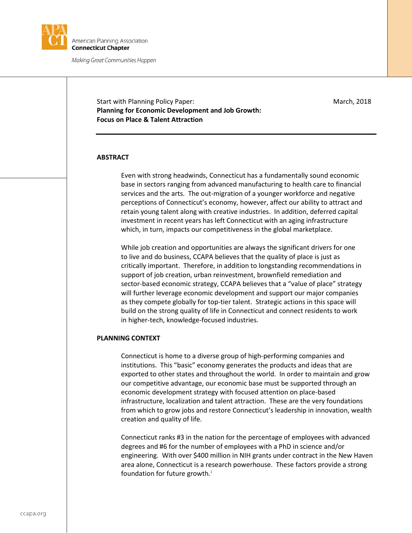

Start with Planning Policy Paper: March, 2018 **Planning for Economic Development and Job Growth: Focus on Place & Talent Attraction**

### **ABSTRACT**

Even with strong headwinds, Connecticut has a fundamentally sound economic base in sectors ranging from advanced manufacturing to health care to financial services and the arts. The out-migration of a younger workforce and negative perceptions of Connecticut's economy, however, affect our ability to attract and retain young talent along with creative industries. In addition, deferred capital investment in recent years has left Connecticut with an aging infrastructure which, in turn, impacts our competitiveness in the global marketplace.

While job creation and opportunities are always the significant drivers for one to live and do business, CCAPA believes that the quality of place is just as critically important. Therefore, in addition to longstanding recommendations in support of job creation, urban reinvestment, brownfield remediation and sector-based economic strategy, CCAPA believes that a "value of place" strategy will further leverage economic development and support our major companies as they compete globally for top-tier talent. Strategic actions in this space will build on the strong quality of life in Connecticut and connect residents to work in higher-tech, knowledge-focused industries.

### **PLANNING CONTEXT**

Connecticut is home to a diverse group of high-performing companies and institutions. This "basic" economy generates the products and ideas that are exported to other states and throughout the world. In order to maintain and grow our competitive advantage, our economic base must be supported through an economic development strategy with focused attention on place-based infrastructure, localization and talent attraction. These are the very foundations from which to grow jobs and restore Connecticut's leadership in innovation, wealth creation and quality of life.

Connecticut ranks #3 in the nation for the percentage of employees with advanced degrees and #6 for the number of employees with a PhD in science and/or engineering. With over \$400 million in NIH grants under contract in the New Haven area alone, Connecticut is a research powerhouse. These factors provide a strong foundat[i](#page-1-0)on for future growth.<sup>i</sup>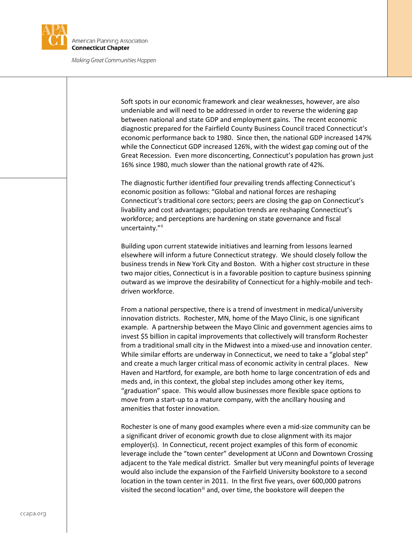

Soft spots in our economic framework and clear weaknesses, however, are also undeniable and will need to be addressed in order to reverse the widening gap between national and state GDP and employment gains. The recent economic diagnostic prepared for the Fairfield County Business Council traced Connecticut's economic performance back to 1980. Since then, the national GDP increased 147% while the Connecticut GDP increased 126%, with the widest gap coming out of the Great Recession. Even more disconcerting, Connecticut's population has grown just 16% since 1980, much slower than the national growth rate of 42%.

The diagnostic further identified four prevailing trends affecting Connecticut's economic position as follows: "Global and national forces are reshaping Connecticut's traditional core sectors; peers are closing the gap on Connecticut's livability and cost advantages; population trends are reshaping Connecticut's workforce; and perceptions are hardening on state governance and fiscal uncertainty."[ii](#page-1-1)

Building upon current statewide initiatives and learning from lessons learned elsewhere will inform a future Connecticut strategy. We should closely follow the business trends in New York City and Boston. With a higher cost structure in these two major cities, Connecticut is in a favorable position to capture business spinning outward as we improve the desirability of Connecticut for a highly-mobile and techdriven workforce.

<span id="page-1-1"></span><span id="page-1-0"></span>From a national perspective, there is a trend of investment in medical/university innovation districts. Rochester, MN, home of the Mayo Clinic, is one significant example. A partnership between the Mayo Clinic and government agencies aims to invest \$5 billion in capital improvements that collectively will transform Rochester from a traditional small city in the Midwest into a mixed-use and innovation center. While similar efforts are underway in Connecticut, we need to take a "global step" and create a much larger critical mass of economic activity in central places. New Haven and Hartford, for example, are both home to large concentration of eds and meds and, in this context, the global step includes among other key items, "graduation" space. This would allow businesses more flexible space options to move from a start-up to a mature company, with the ancillary housing and amenities that foster innovation.

<span id="page-1-4"></span><span id="page-1-3"></span><span id="page-1-2"></span>Rochester is one of many good examples where even a mid-size community can be a significant driver of economic growth due to close alignment with its major employer(s). In Connecticut, recent project examples of this form of economic leverage include the "town center" development at UConn and Downtown Crossing adjacent to the Yale medical district. Smaller but very meaningful points of leverage would also include the expansion of the Fairfield University bookstore to a second location in the town center in 2011. In the first five years, over 600,000 patrons visited the second location<sup>[iii](#page-1-2)</sup> and, over time, the bookstore will deepen the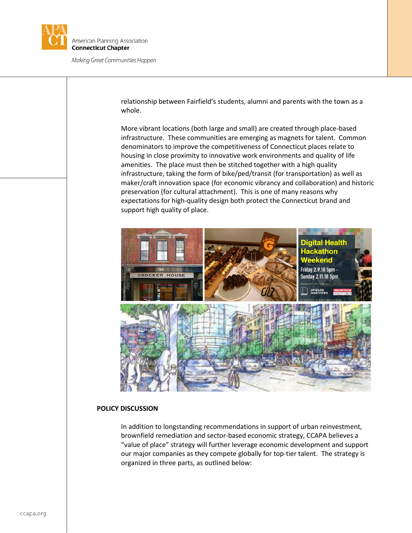

relationship between Fairfield's students, alumni and parents with the town as a whole.

More vibrant locations (both large and small) are created through place-based infrastructure. These communities are emerging as magnets for talent. Common denominators to improve the competitiveness of Connecticut places relate to housing in close proximity to innovative work environments and quality of life amenities. The place must then be stitched together with a high quality infrastructure, taking the form of bike/ped/transit (for transportation) as well as maker/craft innovation space (for economic vibrancy and collaboration) and historic preservation (for cultural attachment). This is one of many reasons why expectations for high-quality design both protect the Connecticut brand and support high quality of place.



## **POLICY DISCUSSION**

In addition to longstanding recommendations in support of urban reinvestment, brownfield remediation and sector-based economic strategy, CCAPA believes a "value of place" strategy will further leverage economic development and support our major companies as they compete globally for top-tier talent. The strategy is organized in three parts, as outlined below: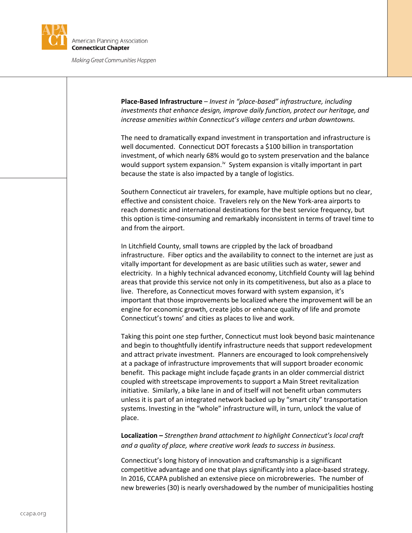

**Place-Based Infrastructure** – *Invest in "place-based" infrastructure, including investments that enhance design, improve daily function, protect our heritage, and increase amenities within Connecticut's village centers and urban downtowns.*  The need to dramatically expand investment in transportation and infrastructure is well documented. Connecticut DOT forecasts a \$100 billion in transportation investment, of which nearly 68% would go to system preservation and the balance would support system expansion.<sup>iv</sup> System expansion is vitally important in part because the state is also impacted by a tangle of logistics. Southern Connecticut air travelers, for example, have multiple options but no clear, effective and consistent choice. Travelers rely on the New York-area airports to reach domestic and international destinations for the best service frequency, but this option is time-consuming and remarkably inconsistent in terms of travel time to and from the airport. In Litchfield County, small towns are crippled by the lack of broadband infrastructure. Fiber optics and the availability to connect to the internet are just as vitally important for development as are basic utilities such as water, sewer and electricity. In a highly technical advanced economy, Litchfield County will lag behind areas that provide this service not only in its competitiveness, but also as a place to live. Therefore, as Connecticut moves forward with system expansion, it's important that those improvements be localized where the improvement will be an engine for economic growth, create jobs or enhance quality of life and promote Connecticut's towns' and cities as places to live and work. Taking this point one step further, Connecticut must look beyond basic maintenance and begin to thoughtfully identify infrastructure needs that support redevelopment and attract private investment. Planners are encouraged to look comprehensively at a package of infrastructure improvements that will support broader economic benefit. This package might include façade grants in an older commercial district coupled with streetscape improvements to support a Main Street revitalization initiative. Similarly, a bike lane in and of itself will not benefit urban commuters unless it is part of an integrated network backed up by "smart city" transportation systems. Investing in the "whole" infrastructure will, in turn, unlock the value of place. **Localization –** *Strengthen brand attachment to highlight Connecticut's local craft and a quality of place, where creative work leads to success in business.*  Connecticut's long history of innovation and craftsmanship is a significant competitive advantage and one that plays significantly into a place-based strategy. In 2016, CCAPA published an extensive piece on microbreweries. The number of new breweries (30) is nearly overshadowed by the number of municipalities hosting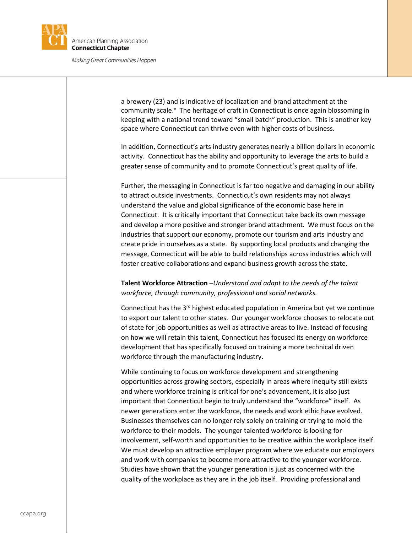

a brewery (23) and is indicative of localization and brand attachment at the community scale.<sup>[v](#page-1-4)</sup> The heritage of craft in Connecticut is once again blossoming in keeping with a national trend toward "small batch" production. This is another key space where Connecticut can thrive even with higher costs of business.

In addition, Connecticut's arts industry generates nearly a billion dollars in economic activity. Connecticut has the ability and opportunity to leverage the arts to build a greater sense of community and to promote Connecticut's great quality of life.

Further, the messaging in Connecticut is far too negative and damaging in our ability to attract outside investments. Connecticut's own residents may not always understand the value and global significance of the economic base here in Connecticut. It is critically important that Connecticut take back its own message and develop a more positive and stronger brand attachment. We must focus on the industries that support our economy, promote our tourism and arts industry and create pride in ourselves as a state. By supporting local products and changing the message, Connecticut will be able to build relationships across industries which will foster creative collaborations and expand business growth across the state.

# **Talent Workforce Attraction** –*Understand and adapt to the needs of the talent workforce, through community, professional and social networks.*

Connecticut has the  $3<sup>rd</sup>$  highest educated population in America but yet we continue to export our talent to other states. Our younger workforce chooses to relocate out of state for job opportunities as well as attractive areas to live. Instead of focusing on how we will retain this talent, Connecticut has focused its energy on workforce development that has specifically focused on training a more technical driven workforce through the manufacturing industry.

While continuing to focus on workforce development and strengthening opportunities across growing sectors, especially in areas where inequity still exists and where workforce training is critical for one's advancement, it is also just important that Connecticut begin to truly understand the "workforce" itself. As newer generations enter the workforce, the needs and work ethic have evolved. Businesses themselves can no longer rely solely on training or trying to mold the workforce to their models. The younger talented workforce is looking for involvement, self-worth and opportunities to be creative within the workplace itself. We must develop an attractive employer program where we educate our employers and work with companies to become more attractive to the younger workforce. Studies have shown that the younger generation is just as concerned with the quality of the workplace as they are in the job itself. Providing professional and